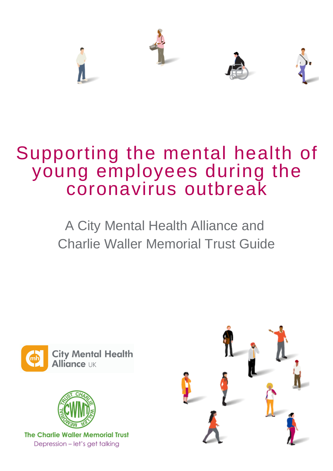

# Supporting the mental health of young employees during the coronavirus outbreak

# A City Mental Health Alliance and Charlie Waller Memorial Trust Guide





**The Charlie Waller Memorial Trust** Depression - let's get talking

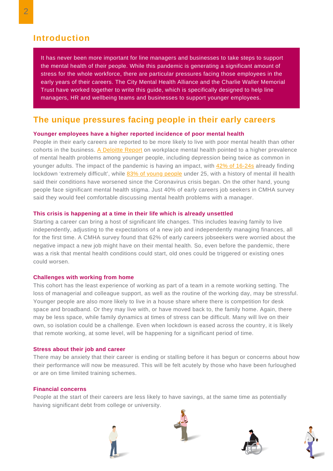# **Introduction**

It has never been more important for line managers and businesses to take steps to support the mental health of their people. While this pandemic is generating a significant amount of stress for the whole workforce, there are particular pressures facing those employees in the early years of their careers. The City Mental Health Alliance and the Charlie Waller Memorial Trust have worked together to write this guide, which is specifically designed to help line managers, HR and wellbeing teams and businesses to support younger employees.

# **The unique pressures facing people in their early careers**

## **Younger employees have a higher reported incidence of poor mental health**

People in their early careers are reported to be more likely to live with poor mental health than other cohorts in the business. A [Deloitte](https://www2.deloitte.com/uk/en/pages/press-releases/articles/poor-mental-health-costs-uk-employers-up-to-pound-45-billion-a-year.html) Report on workplace mental health pointed to a higher prevalence of mental health problems among younger people, including depression being twice as common in younger adults. The impact of the pandemic is having an impact, with 42% of [16-24s](https://www.kcl.ac.uk/news/life-under-lockdown-coronavirus-in-the-uk) already finding lockdown 'extremely difficult', while 83% of young [people](https://youngminds.org.uk/media/3708/coronavirus-report_march2020.pdf) under 25, with a history of mental ill health said their conditions have worsened since the Coronavirus crisis began. On the other hand, young people face significant mental health stigma. Just 40% of early careers job seekers in CMHA survey said they would feel comfortable discussing mental health problems with a manager.

## **This crisis is happening at a time in their life which is already unsettled**

Starting a career can bring a host of significant life changes. This includes leaving family to live independently, adjusting to the expectations of a new job and independently managing finances, all for the first time. A CMHA survey found that 62% of early careers jobseekers were worried about the negative impact a new job might have on their mental health. So, even before the pandemic, there was a risk that mental health conditions could start, old ones could be triggered or existing ones could worsen.

## **Challenges with working from home**

This cohort has the least experience of working as part of a team in a remote working setting. The loss of managerial and colleague support, as well as the routine of the working day, may be stressful. Younger people are also more likely to live in a house share where there is competition for desk space and broadband. Or they may live with, or have moved back to, the family home. Again, there may be less space, while family dynamics at times of stress can be difficult. Many will live on their own, so isolation could be a challenge. Even when lockdown is eased across the country, it is likely that remote working, at some level, will be happening for a significant period of time.

## **Stress about their job and career**

There may be anxiety that their career is ending or stalling before it has begun or concerns about how their performance will now be measured. This will be felt acutely by those who have been furloughed or are on time limited training schemes.

## **Financial concerns**

People at the start of their careers are less likely to have savings, at the same time as potentially having significant debt from college or university.







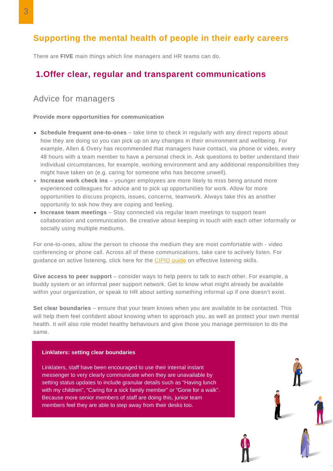# **Supporting the mental health of people in their early careers**

There are **FIVE** main things which line managers and HR teams can do.

# **1.Offer clear, regular and transparent communications**

# Advice for managers

## **Provide more opportunities for communication**

- **Schedule frequent one-to-ones** take time to check in regularly with any direct reports about how they are doing so you can pick up on any changes in their environment and wellbeing. For example, Allen & Overy has recommended that managers have contact, via phone or video, every 48 hours with a team member to have a personal check in. Ask questions to better understand their individual circumstances, for example, working environment and any additional responsibilities they might have taken on (e.g. caring for someone who has become unwell).
- **Increase work check ins** younger employees are more likely to miss being around more experienced colleagues for advice and to pick up opportunities for work. Allow for more opportunities to discuss projects, issues, concerns, teamwork. Always take this as another opportunity to ask how they are coping and feeling.
- **Increase team meetings** Stay connected via regular team meetings to support team collaboration and communication. Be creative about keeping in touch with each other informally or socially using multiple mediums.

For one-to-ones, allow the person to choose the medium they are most comfortable with - video conferencing or phone call. Across all of these communications, take care to actively listen. For guidance on active listening, click here for the **[CIPID](https://www.cipd.co.uk/Images/effective-listening-skills-in-mentoring_tcm18-16957.pdf) guide** on effective listening skills.

**Give access to peer support** – consider ways to help peers to talk to each other. For example, a buddy system or an informal peer support network. Get to know what might already be available within your organization, or speak to HR about setting something informal up if one doesn't exist.

**Set clear boundaries** – ensure that your team knows when you are available to be contacted. This will help them feel confident about knowing when to approach you, as well as protect your own mental health. It will also role model healthy behaviours and give those you manage permission to do the same.

## **Linklaters: setting clear boundaries**

Linklaters, staff have been encouraged to use their internal instant messenger to very clearly communicate when they are unavailable by setting status updates to include granular details such as "Having lunch with my children", "Caring for a sick family member" or "Gone for a walk". Because more senior members of staff are doing this, junior team members feel they are able to step away from their desks too.

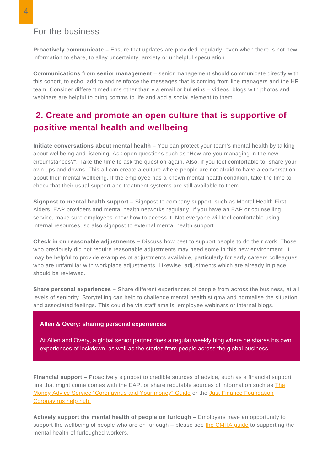# For the business

**Proactively communicate –** Ensure that updates are provided regularly, even when there is not new information to share, to allay uncertainty, anxiety or unhelpful speculation.

**Communications from senior management** – senior management should communicate directly with this cohort, to echo, add to and reinforce the messages that is coming from line managers and the HR team. Consider different mediums other than via email or bulletins – videos, blogs with photos and webinars are helpful to bring comms to life and add a social element to them.

# **2. Create and promote an open culture that is supportive of positive mental health and wellbeing**

**Initiate conversations about mental health –** You can protect your team's mental health by talking about wellbeing and listening. Ask open questions such as "How are you managing in the new circumstances?". Take the time to ask the question again. Also, if you feel comfortable to, share your own ups and downs. This all can create a culture where people are not afraid to have a conversation about their mental wellbeing. If the employee has a known mental health condition, take the time to check that their usual support and treatment systems are still available to them.

**Signpost to mental health support –** Signpost to company support, such as Mental Health First Aiders, EAP providers and mental health networks regularly. If you have an EAP or counselling service, make sure employees know how to access it. Not everyone will feel comfortable using internal resources, so also signpost to external mental health support.

**Check in on reasonable adjustments –** Discuss how best to support people to do their work. Those who previously did not require reasonable adjustments may need some in this new environment. It may be helpful to provide examples of adjustments available, particularly for early careers colleagues who are unfamiliar with workplace adjustments. Likewise, adjustments which are already in place should be reviewed.

**Share personal experiences –** Share different experiences of people from across the business, at all levels of seniority. Storytelling can help to challenge mental health stigma and normalise the situation and associated feelings. This could be via staff emails, employee webinars or internal blogs.

## **Allen & Overy: sharing personal experiences**

At Allen and Overy, a global senior partner does a regular weekly blog where he shares his own experiences of lockdown, as well as the stories from people across the global business

**Financial support –** Proactively signpost to credible sources of advice, such as a financial support line that might come comes with the EAP, or share reputable sources of information such as The Money Advice Service ["Coronavirus](https://www.moneyadviceservice.org.uk/en/articles/coronavirus-and-your-money) and Your money" Guide or the Just Finance Foundation Coronavirus help hub.

**Actively support the mental health of people on furlough –** Employers have an opportunity to support the wellbeing of people who are on furlough – please see the [CMHA](http://citymha.org.uk/wp-content/uploads/2020/04/Furloughed-workers-FINAL.pdf) guide to supporting the mental health of furloughed workers.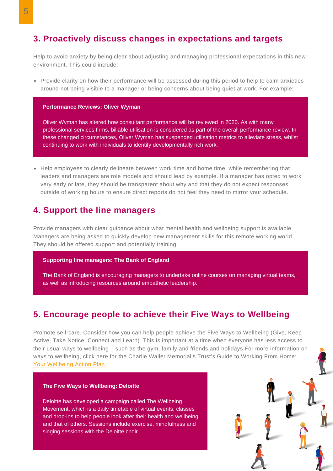# **3. Proactively discuss changes in expectations and targets**

Help to avoid anxiety by being clear about adjusting and managing professional expectations in this new environment. This could include:

• Provide clarity on how their performance will be assessed during this period to help to calm anxieties around not being visible to a manager or being concerns about being quiet at work. For example:

### **Performance Reviews: Oliver Wyman**

Oliver Wyman has altered how consultant performance will be reviewed in 2020. As with many professional services firms, billable utilisation is considered as part of the overall performance review. In these changed circumstances, Oliver Wyman has suspended utilisation metrics to alleviate stress, whilst continuing to work with individuals to identify developmentally rich work.

• Help employees to clearly delineate between work time and home time, while remembering that leaders and managers are role models and should lead by example. If a manager has opted to work very early or late, they should be transparent about why and that they do not expect responses outside of working hours to ensure direct reports do not feel they need to mirror your schedule.

# **4. Support the line managers**

Provide managers with clear guidance about what mental health and wellbeing support is available. Managers are being asked to quickly develop new management skills for this remote working world. They should be offered support and potentially training.

#### **Supporting line managers: The Bank of England**

**T**he Bank of England is encouraging managers to undertake online courses on managing virtual teams, as well as introducing resources around empathetic leadership.

# **5. Encourage people to achieve their Five Ways to Wellbeing**

Promote self-care. Consider how you can help people achieve the Five Ways to Wellbeing (Give, Keep Active, Take Notice, Connect and Learn). This is important at a time when everyone has less access to their usual ways to wellbeing – such as the gym, family and friends and holidays.For more information on ways to wellbeing, click here for the Charlie Waller Memorial's Trust's Guide to Working From Home: Your [Wellbeing](https://74fa8c0e-59f4-4e39-806a-f511b0f9fadb.filesusr.com/ugd/b5791d_c659f0f7fa4248ac90c17d5b786f1953.pdf) Action Plan.

#### **The Five Ways to Wellbeing: Deloitte**

Deloitte has developed a campaign called The Wellbeing Movement, which is a daily timetable of virtual events, classes and drop-ins to help people look after their health and wellbeing and that of others. Sessions include exercise, mindfulness and singing sessions with the Deloitte choir.